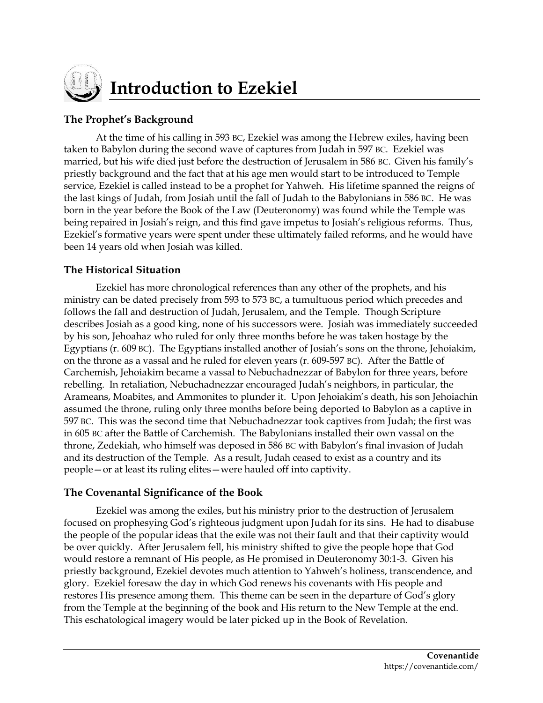

# **Introduction to Ezekiel**

## **The Prophet's Background**

At the time of his calling in 593 BC, Ezekiel was among the Hebrew exiles, having been taken to Babylon during the second wave of captures from Judah in 597 BC. Ezekiel was married, but his wife died just before the destruction of Jerusalem in 586 BC. Given his family's priestly background and the fact that at his age men would start to be introduced to Temple service, Ezekiel is called instead to be a prophet for Yahweh. His lifetime spanned the reigns of the last kings of Judah, from Josiah until the fall of Judah to the Babylonians in 586 BC. He was born in the year before the Book of the Law (Deuteronomy) was found while the Temple was being repaired in Josiah's reign, and this find gave impetus to Josiah's religious reforms. Thus, Ezekiel's formative years were spent under these ultimately failed reforms, and he would have been 14 years old when Josiah was killed.

## **The Historical Situation**

Ezekiel has more chronological references than any other of the prophets, and his ministry can be dated precisely from 593 to 573 BC, a tumultuous period which precedes and follows the fall and destruction of Judah, Jerusalem, and the Temple. Though Scripture describes Josiah as a good king, none of his successors were. Josiah was immediately succeeded by his son, Jehoahaz who ruled for only three months before he was taken hostage by the Egyptians (r. 609 BC). The Egyptians installed another of Josiah's sons on the throne, Jehoiakim, on the throne as a vassal and he ruled for eleven years (r. 609-597 BC). After the Battle of Carchemish, Jehoiakim became a vassal to Nebuchadnezzar of Babylon for three years, before rebelling. In retaliation, Nebuchadnezzar encouraged Judah's neighbors, in particular, the Arameans, Moabites, and Ammonites to plunder it. Upon Jehoiakim's death, his son Jehoiachin assumed the throne, ruling only three months before being deported to Babylon as a captive in 597 BC. This was the second time that Nebuchadnezzar took captives from Judah; the first was in 605 BC after the Battle of Carchemish. The Babylonians installed their own vassal on the throne, Zedekiah, who himself was deposed in 586 BC with Babylon's final invasion of Judah and its destruction of the Temple. As a result, Judah ceased to exist as a country and its people—or at least its ruling elites—were hauled off into captivity.

## **The Covenantal Significance of the Book**

Ezekiel was among the exiles, but his ministry prior to the destruction of Jerusalem focused on prophesying God's righteous judgment upon Judah for its sins. He had to disabuse the people of the popular ideas that the exile was not their fault and that their captivity would be over quickly. After Jerusalem fell, his ministry shifted to give the people hope that God would restore a remnant of His people, as He promised in Deuteronomy 30:1-3. Given his priestly background, Ezekiel devotes much attention to Yahweh's holiness, transcendence, and glory. Ezekiel foresaw the day in which God renews his covenants with His people and restores His presence among them. This theme can be seen in the departure of God's glory from the Temple at the beginning of the book and His return to the New Temple at the end. This eschatological imagery would be later picked up in the Book of Revelation.